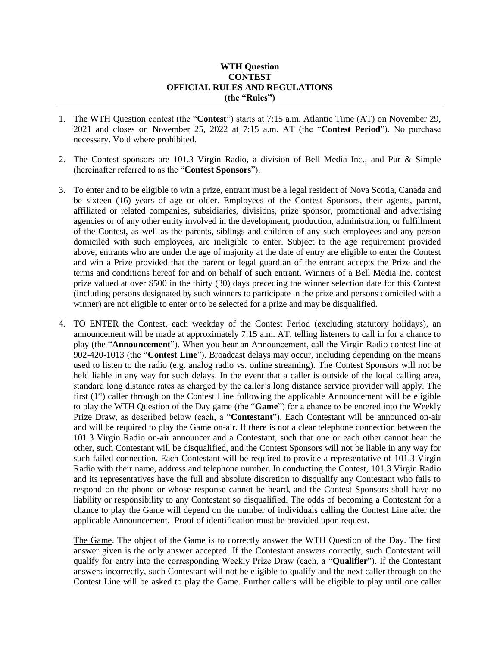## **WTH Question CONTEST OFFICIAL RULES AND REGULATIONS (the "Rules")**

- 1. The WTH Question contest (the "**Contest**") starts at 7:15 a.m. Atlantic Time (AT) on November 29, 2021 and closes on November 25, 2022 at 7:15 a.m. AT (the "**Contest Period**"). No purchase necessary. Void where prohibited.
- 2. The Contest sponsors are 101.3 Virgin Radio, a division of Bell Media Inc., and Pur & Simple (hereinafter referred to as the "**Contest Sponsors**").
- 3. To enter and to be eligible to win a prize, entrant must be a legal resident of Nova Scotia, Canada and be sixteen (16) years of age or older. Employees of the Contest Sponsors, their agents, parent, affiliated or related companies, subsidiaries, divisions, prize sponsor, promotional and advertising agencies or of any other entity involved in the development, production, administration, or fulfillment of the Contest, as well as the parents, siblings and children of any such employees and any person domiciled with such employees, are ineligible to enter. Subject to the age requirement provided above, entrants who are under the age of majority at the date of entry are eligible to enter the Contest and win a Prize provided that the parent or legal guardian of the entrant accepts the Prize and the terms and conditions hereof for and on behalf of such entrant. Winners of a Bell Media Inc. contest prize valued at over \$500 in the thirty (30) days preceding the winner selection date for this Contest (including persons designated by such winners to participate in the prize and persons domiciled with a winner) are not eligible to enter or to be selected for a prize and may be disqualified.
- 4. TO ENTER the Contest, each weekday of the Contest Period (excluding statutory holidays), an announcement will be made at approximately 7:15 a.m. AT, telling listeners to call in for a chance to play (the "**Announcement**"). When you hear an Announcement, call the Virgin Radio contest line at 902-420-1013 (the "**Contest Line**"). Broadcast delays may occur, including depending on the means used to listen to the radio (e.g. analog radio vs. online streaming). The Contest Sponsors will not be held liable in any way for such delays. In the event that a caller is outside of the local calling area, standard long distance rates as charged by the caller's long distance service provider will apply. The first  $(1<sup>st</sup>)$  caller through on the Contest Line following the applicable Announcement will be eligible to play the WTH Question of the Day game (the "**Game**") for a chance to be entered into the Weekly Prize Draw, as described below (each, a "**Contestant**"). Each Contestant will be announced on-air and will be required to play the Game on-air. If there is not a clear telephone connection between the 101.3 Virgin Radio on-air announcer and a Contestant, such that one or each other cannot hear the other, such Contestant will be disqualified, and the Contest Sponsors will not be liable in any way for such failed connection. Each Contestant will be required to provide a representative of 101.3 Virgin Radio with their name, address and telephone number. In conducting the Contest, 101.3 Virgin Radio and its representatives have the full and absolute discretion to disqualify any Contestant who fails to respond on the phone or whose response cannot be heard, and the Contest Sponsors shall have no liability or responsibility to any Contestant so disqualified. The odds of becoming a Contestant for a chance to play the Game will depend on the number of individuals calling the Contest Line after the applicable Announcement. Proof of identification must be provided upon request.

The Game. The object of the Game is to correctly answer the WTH Question of the Day. The first answer given is the only answer accepted. If the Contestant answers correctly, such Contestant will qualify for entry into the corresponding Weekly Prize Draw (each, a "**Qualifier**"). If the Contestant answers incorrectly, such Contestant will not be eligible to qualify and the next caller through on the Contest Line will be asked to play the Game. Further callers will be eligible to play until one caller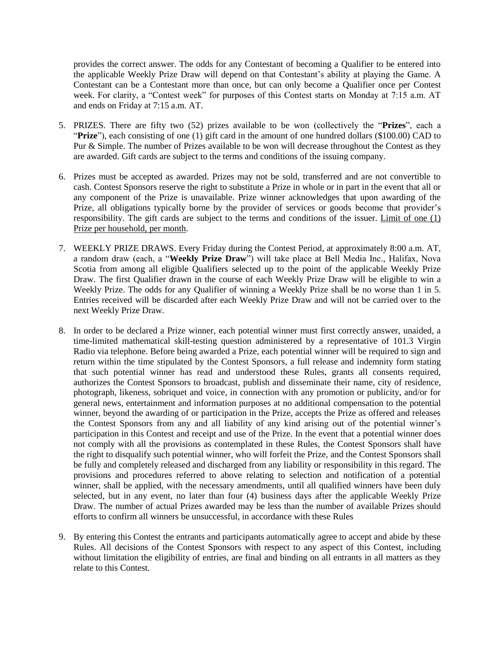provides the correct answer. The odds for any Contestant of becoming a Qualifier to be entered into the applicable Weekly Prize Draw will depend on that Contestant's ability at playing the Game. A Contestant can be a Contestant more than once, but can only become a Qualifier once per Contest week. For clarity, a "Contest week" for purposes of this Contest starts on Monday at 7:15 a.m. AT and ends on Friday at 7:15 a.m. AT.

- 5. PRIZES. There are fifty two (52) prizes available to be won (collectively the "**Prizes**", each a "**Prize**"), each consisting of one (1) gift card in the amount of one hundred dollars (\$100.00) CAD to Pur & Simple. The number of Prizes available to be won will decrease throughout the Contest as they are awarded. Gift cards are subject to the terms and conditions of the issuing company.
- 6. Prizes must be accepted as awarded. Prizes may not be sold, transferred and are not convertible to cash. Contest Sponsors reserve the right to substitute a Prize in whole or in part in the event that all or any component of the Prize is unavailable. Prize winner acknowledges that upon awarding of the Prize, all obligations typically borne by the provider of services or goods become that provider's responsibility. The gift cards are subject to the terms and conditions of the issuer. Limit of one (1) Prize per household, per month.
- 7. WEEKLY PRIZE DRAWS. Every Friday during the Contest Period, at approximately 8:00 a.m. AT, a random draw (each, a "**Weekly Prize Draw**") will take place at Bell Media Inc., Halifax, Nova Scotia from among all eligible Qualifiers selected up to the point of the applicable Weekly Prize Draw. The first Qualifier drawn in the course of each Weekly Prize Draw will be eligible to win a Weekly Prize. The odds for any Qualifier of winning a Weekly Prize shall be no worse than 1 in 5. Entries received will be discarded after each Weekly Prize Draw and will not be carried over to the next Weekly Prize Draw.
- 8. In order to be declared a Prize winner, each potential winner must first correctly answer, unaided, a time-limited mathematical skill-testing question administered by a representative of 101.3 Virgin Radio via telephone. Before being awarded a Prize, each potential winner will be required to sign and return within the time stipulated by the Contest Sponsors, a full release and indemnity form stating that such potential winner has read and understood these Rules, grants all consents required, authorizes the Contest Sponsors to broadcast, publish and disseminate their name, city of residence, photograph, likeness, sobriquet and voice, in connection with any promotion or publicity, and/or for general news, entertainment and information purposes at no additional compensation to the potential winner, beyond the awarding of or participation in the Prize, accepts the Prize as offered and releases the Contest Sponsors from any and all liability of any kind arising out of the potential winner's participation in this Contest and receipt and use of the Prize. In the event that a potential winner does not comply with all the provisions as contemplated in these Rules, the Contest Sponsors shall have the right to disqualify such potential winner, who will forfeit the Prize, and the Contest Sponsors shall be fully and completely released and discharged from any liability or responsibility in this regard. The provisions and procedures referred to above relating to selection and notification of a potential winner, shall be applied, with the necessary amendments, until all qualified winners have been duly selected, but in any event, no later than four (4) business days after the applicable Weekly Prize Draw. The number of actual Prizes awarded may be less than the number of available Prizes should efforts to confirm all winners be unsuccessful, in accordance with these Rules
- 9. By entering this Contest the entrants and participants automatically agree to accept and abide by these Rules. All decisions of the Contest Sponsors with respect to any aspect of this Contest, including without limitation the eligibility of entries, are final and binding on all entrants in all matters as they relate to this Contest.